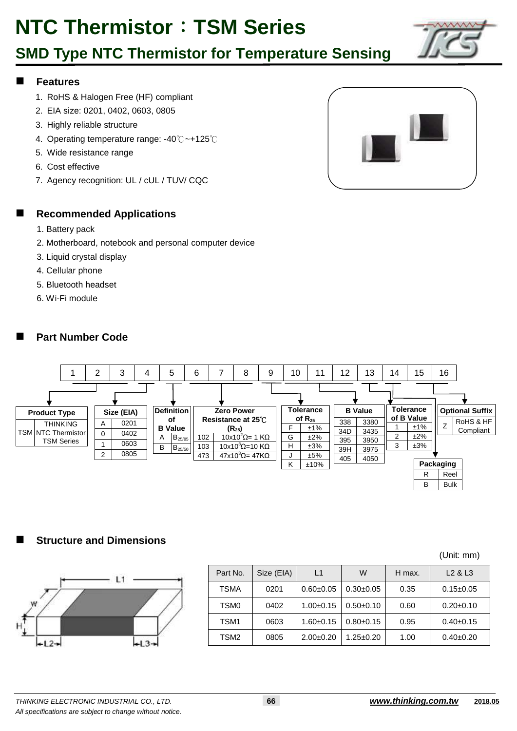## **SMD Type NTC Thermistor for Temperature Sensing**

### **Features**

- 1. RoHS & Halogen Free (HF) compliant
- 2. EIA size: 0201, 0402, 0603, 0805
- 3. Highly reliable structure
- 4. Operating temperature range: -40℃~+125℃
- 5. Wide resistance range
- 6. Cost effective
- 7. Agency recognition: UL / cUL / TUV/ CQC



#### **Recommended Applications**

- 1. Battery pack
- 2. Motherboard, notebook and personal computer device
- 3. Liquid crystal display
- 4. Cellular phone
- 5. Bluetooth headset
- 6. Wi-Fi module

### **Part Number Code**



### **Structure and Dimensions**



|                  |            |               |                 |        | (Unit: mm)                      |
|------------------|------------|---------------|-----------------|--------|---------------------------------|
| Part No.         | Size (EIA) | L1            | W               | H max. | L <sub>2</sub> & L <sub>3</sub> |
| TSMA             | 0201       | $0.60 + 0.05$ | $0.30+0.05$     | 0.35   | $0.15 \pm 0.05$                 |
| TSM <sub>0</sub> | 0402       | $1.00+0.15$   | $0.50+0.10$     | 0.60   | $0.20 + 0.10$                   |
| TSM <sub>1</sub> | 0603       | $1.60 + 0.15$ | $0.80+0.15$     | 0.95   | $0.40+0.15$                     |
| TSM <sub>2</sub> | 0805       | $2.00+0.20$   | $1.25 \pm 0.20$ | 1.00   | $0.40+0.20$                     |

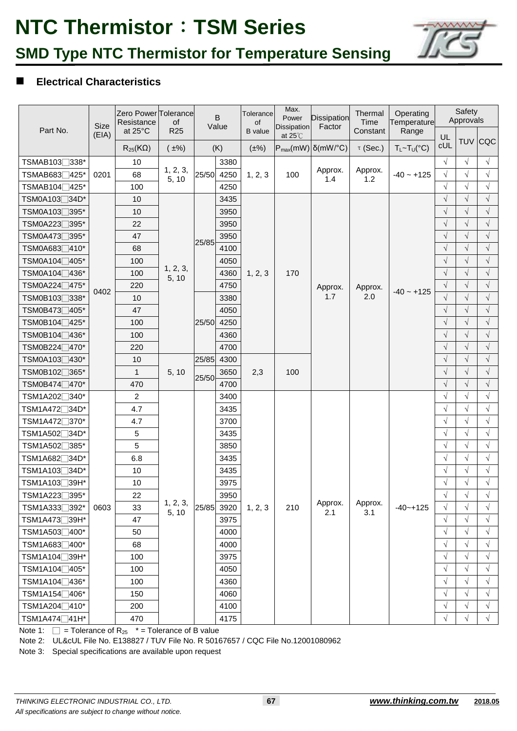

## **Electrical Characteristics**

| Part No.                                                            | Size  | Zero Power Tolerance<br>Resistance<br>at 25°C | of<br>R <sub>25</sub> |       | B<br>Value   | Tolerance<br>of<br><b>B</b> value | Max.<br>Power<br><b>Dissipation</b> | <b>Dissipation</b><br>Factor        | Thermal<br>Time | Operating<br>Temperature<br>Constant<br>Range |                  | Safety<br>Approvals      |            |
|---------------------------------------------------------------------|-------|-----------------------------------------------|-----------------------|-------|--------------|-----------------------------------|-------------------------------------|-------------------------------------|-----------------|-----------------------------------------------|------------------|--------------------------|------------|
|                                                                     | (EIA) | $R_{25}$ (K $\Omega$ )                        | $(\pm\%)$             |       | (K)          | $(\pm\%)$                         | at $25^{\circ}$ C                   | $P_{max}(mW)$ $\delta(mW)^{\circ}C$ | $\tau$ (Sec.)   | $T_L \sim T_U({}^{\circ}C)$                   | UL<br><b>cUL</b> |                          | TUV CQC    |
|                                                                     |       |                                               |                       |       |              |                                   |                                     |                                     |                 |                                               | $\sqrt{}$        |                          | $\sqrt{ }$ |
| TSMAB103□338*                                                       |       | 10<br>68                                      | 1, 2, 3,              | 25/50 | 3380<br>4250 |                                   | 100                                 | Approx.                             | Approx.         |                                               | $\sqrt{}$        | $\sqrt{ }$<br>$\sqrt{ }$ | $\sqrt{ }$ |
| TSMAB683 <sup>1425*</sup><br>TSMAB104 <sup>1</sup> 425 <sup>*</sup> | 0201  | 100                                           | 5, 10                 |       | 4250         | 1, 2, 3                           |                                     | 1.4                                 | 1.2             | $-40 - +125$                                  | $\sqrt{}$        | $\sqrt{ }$               | $\sqrt{}$  |
| TSM0A103 <sup>734D*</sup>                                           |       | 10                                            |                       |       | 3435         |                                   |                                     |                                     |                 |                                               | $\sqrt{}$        | $\sqrt{}$                | $\sqrt{}$  |
| TSM0A103□395*                                                       |       | 10                                            |                       |       | 3950         |                                   |                                     |                                     |                 |                                               | $\sqrt{}$        | $\sqrt{}$                | $\sqrt{}$  |
| TSM0A223 <sup>395*</sup>                                            |       | 22                                            |                       |       | 3950         |                                   |                                     |                                     |                 |                                               | $\sqrt{ }$       | $\sqrt{ }$               | $\sqrt{}$  |
| TSM0A473□395*                                                       |       | 47                                            |                       |       | 3950         |                                   |                                     |                                     |                 |                                               | $\sqrt{}$        | $\sqrt{ }$               | $\sqrt{}$  |
| TSM0A683□410*                                                       |       | 68                                            |                       | 25/85 | 4100         |                                   |                                     |                                     |                 |                                               | $\sqrt{}$        | $\sqrt{}$                | $\sqrt{}$  |
| TSM0A104 <sub></sub> 405*                                           |       | 100                                           |                       |       | 4050         |                                   |                                     |                                     |                 |                                               | $\sqrt{}$        | $\sqrt{}$                | $\sqrt{}$  |
| TSM0A104 <sup>1</sup> 436 <sup>*</sup>                              |       | 100                                           | 1, 2, 3,              |       | 4360         | 1, 2, 3                           | 170                                 |                                     |                 |                                               | $\sqrt{}$        | $\sqrt{}$                | $\sqrt{}$  |
| TSM0A224□475*                                                       |       | 220                                           | 5, 10                 |       | 4750         |                                   |                                     |                                     | Approx.<br>2.0  |                                               | $\sqrt{}$        | $\sqrt{}$                | $\sqrt{}$  |
| TSM0B1037338*                                                       | 0402  | 10                                            |                       |       | 3380         |                                   |                                     | Approx.<br>1.7                      |                 | $-40 - +125$                                  | $\sqrt{}$        | $\sqrt{ }$               | $\sqrt{}$  |
| TSM0B473□405*                                                       |       | 47                                            |                       |       | 4050         |                                   |                                     |                                     |                 |                                               | $\sqrt{}$        | $\sqrt{}$                | $\sqrt{ }$ |
| TSM0B104 <sup>7425*</sup>                                           |       | 100                                           |                       | 25/50 | 4250         |                                   |                                     |                                     |                 |                                               | $\sqrt{}$        | $\sqrt{ }$               | $\sqrt{}$  |
| TSM0B104 <sup>7436*</sup>                                           |       | 100                                           | 5, 10                 |       | 4360         |                                   |                                     |                                     |                 |                                               | $\sqrt{}$        | $\sqrt{}$                | $\sqrt{}$  |
| TSM0B224□470*                                                       |       | 220                                           |                       |       | 4700         |                                   |                                     |                                     |                 |                                               | $\sqrt{}$        | $\sqrt{}$                | $\sqrt{}$  |
| TSM0A103□430*                                                       |       | 10                                            |                       | 25/85 | 4300         |                                   |                                     |                                     |                 |                                               | $\sqrt{}$        | $\sqrt{}$                | $\sqrt{ }$ |
| TSM0B102 <sub>2</sub> 365*                                          |       | $\mathbf{1}$                                  |                       |       | 3650         | 2,3                               | 100                                 |                                     |                 |                                               | $\sqrt{}$        | $\sqrt{}$                | $\sqrt{}$  |
| TSM0B474□470*                                                       |       | 470                                           |                       | 25/50 | 4700         |                                   |                                     |                                     |                 |                                               | $\sqrt{}$        | $\sqrt{}$                | $\sqrt{}$  |
| TSM1A202 <sup></sup> 340 <sup>*</sup>                               |       | $\mathbf{2}$                                  |                       |       | 3400         |                                   |                                     |                                     |                 |                                               | $\sqrt{}$        | $\sqrt{}$                | $\sqrt{}$  |
| TSM1A472 <sub>2</sub> 34D <sup>*</sup>                              |       | 4.7                                           |                       |       | 3435         |                                   |                                     |                                     |                 |                                               | $\sqrt{}$        | $\sqrt{ }$               | $\sqrt{}$  |
| TSM1A472 <sup>370*</sup>                                            |       | 4.7                                           |                       |       | 3700         |                                   |                                     |                                     |                 |                                               | $\sqrt{}$        | $\sqrt{}$                | $\sqrt{}$  |
| TSM1A502 <sub>2</sub> 34D <sup>*</sup>                              |       | 5                                             |                       |       | 3435         |                                   |                                     |                                     |                 |                                               | $\sqrt{}$        | $\sqrt{}$                | $\sqrt{}$  |
| TSM1A502 <sub>2</sub> 385*                                          |       | 5                                             |                       |       | 3850         |                                   |                                     |                                     |                 |                                               | $\sqrt{}$        | $\sqrt{}$                | $\sqrt{ }$ |
| TSM1A682 <sub>2</sub> 34D <sup>*</sup>                              |       | 6.8                                           |                       |       | 3435         |                                   |                                     |                                     |                 |                                               | $\sqrt{}$        | $\sqrt{ }$               | $\sqrt{}$  |
| TSM1A103 <sub>24D</sub> *                                           |       | 10                                            |                       |       | 3435         |                                   |                                     |                                     |                 |                                               | $\sqrt{}$        | $\sqrt{}$                | $\sqrt{}$  |
| TSM1A103 <sub>□</sub> 39H*                                          |       | 10                                            |                       |       | 3975         |                                   |                                     |                                     |                 |                                               | $\sqrt{}$        | $\sqrt{}$                | $\sqrt{}$  |
| TSM1A223 <sup>395*</sup>                                            |       | 22                                            |                       |       | 3950         |                                   |                                     |                                     |                 |                                               | V                |                          |            |
| TSM1A3331392*                                                       | 0603  | 33                                            | 1, 2, 3,<br>5, 10     | 25/85 | 3920         | 1, 2, 3                           | 210                                 | Approx.<br>2.1                      | Approx.<br>3.1  | $-40 - +125$                                  | $\sqrt{}$        | $\sqrt{}$                | $\sqrt{}$  |
| TSM1A473□39H*                                                       |       | 47                                            |                       |       | 3975         |                                   |                                     |                                     |                 |                                               | $\sqrt{}$        | $\sqrt{ }$               | $\sqrt{}$  |
| TSM1A503□400*                                                       |       | 50                                            |                       |       | 4000         |                                   |                                     |                                     |                 |                                               | $\sqrt{}$        | $\sqrt{}$                | $\sqrt{}$  |
| TSM1A683 <sup>1400*</sup>                                           |       | 68                                            |                       |       | 4000         |                                   |                                     |                                     |                 |                                               | $\sqrt{}$        | $\sqrt{ }$               | $\sqrt{}$  |
| TSM1A104 <sub>□</sub> 39H*                                          |       | 100                                           |                       |       | 3975         |                                   |                                     |                                     |                 |                                               | $\sqrt{}$        | $\sqrt{ }$               | $\sqrt{}$  |
| TSM1A104□405*                                                       |       | 100                                           |                       |       | 4050         |                                   |                                     |                                     |                 |                                               | $\sqrt{}$        | $\sqrt{}$                | $\sqrt{}$  |
| TSM1A104 <sup>1436*</sup>                                           |       | 100                                           |                       |       | 4360         |                                   |                                     |                                     |                 |                                               | $\sqrt{}$        | $\sqrt{ }$               | $\sqrt{}$  |
| TSM1A154□406*                                                       |       | 150                                           |                       |       | 4060         |                                   |                                     |                                     |                 |                                               | $\sqrt{}$        | $\sqrt{}$                | $\sqrt{ }$ |
| TSM1A204 <sup>10*</sup>                                             |       | 200                                           |                       |       | 4100         |                                   |                                     |                                     |                 |                                               | $\sqrt{}$        | $\sqrt{ }$               | $\sqrt{}$  |
| TSM1A474□41H*                                                       |       | 470                                           |                       |       | 4175         |                                   |                                     |                                     |                 |                                               | $\sqrt{}$        | $\sqrt{ }$               | $\sqrt{}$  |

Note 1:  $\Box$  = Tolerance of R<sub>25</sub>  $*$  = Tolerance of B value

Note 2: UL&cUL File No. E138827 / TUV File No. R 50167657 / CQC File No.12001080962

Note 3: Special specifications are available upon request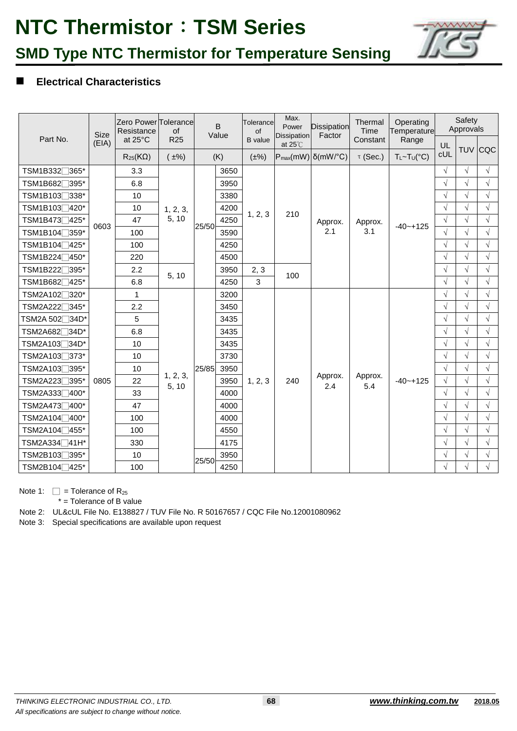

## **SMD Type NTC Thermistor for Temperature Sensing**

## **Electrical Characteristics**

|                                        | <b>Size</b> | Zero Power Tolerance<br>Resistance | of                | B<br>Value |      | Tolerance<br>of |                                         | <b>Dissipation</b><br>Factor        | Thermal<br>Time | Operating<br>Temperature    |            | Safety<br>Approvals |            |
|----------------------------------------|-------------|------------------------------------|-------------------|------------|------|-----------------|-----------------------------------------|-------------------------------------|-----------------|-----------------------------|------------|---------------------|------------|
| Part No.                               | (EIA)       | at 25°C                            | R <sub>25</sub>   |            |      | <b>B</b> value  | <b>Dissipation</b><br>at $25^{\circ}$ C |                                     | Constant        | Range                       | UL         |                     |            |
|                                        |             | $R_{25}$ (K $\Omega$ )             | $(\pm\%)$         |            | (K)  | $(\pm\%)$       |                                         | $P_{max}(mW)$ $\delta(mW)^{\circ}C$ | $\tau$ (Sec.)   | $T_L \sim T_U({}^{\circ}C)$ | cUL        |                     | TUV CQC    |
| TSM1B332 <sup>7</sup> 365*             |             | 3.3                                |                   |            | 3650 |                 |                                         |                                     |                 |                             | $\sqrt{}$  | $\sqrt{}$           | $\sqrt{ }$ |
| TSM1B682 <sup>7395*</sup>              |             | 6.8                                |                   |            | 3950 |                 |                                         |                                     |                 |                             | $\sqrt{}$  | $\sqrt{ }$          | $\sqrt{ }$ |
| TSM1B103□338*                          |             | 10                                 |                   |            | 3380 |                 |                                         |                                     |                 |                             | $\sqrt{}$  | $\sqrt{ }$          | $\sqrt{}$  |
| TSM1B103 <sup>1</sup> 420*             |             | 10                                 | 1, 2, 3,          |            | 4200 |                 | 210                                     |                                     |                 |                             | $\sqrt{ }$ | $\sqrt{ }$          | $\sqrt{ }$ |
| TSM1B473 <sup>1</sup> 425*             | 0603        | 47                                 | 5, 10             | 25/50      | 4250 | 1, 2, 3         |                                         | Approx.                             | Approx.         | $-40 - +125$                | $\sqrt{}$  | $\sqrt{ }$          | $\sqrt{}$  |
| TSM1B104 <sup>7359*</sup>              |             | 100                                |                   |            | 3590 |                 |                                         | 2.1                                 | 3.1             |                             | $\sqrt{ }$ | $\sqrt{ }$          | $\sqrt{}$  |
| TSM1B104 <sup>∩</sup> 425*             |             | 100                                |                   |            | 4250 |                 |                                         |                                     |                 |                             | $\sqrt{ }$ | $\sqrt{ }$          | $\sqrt{ }$ |
| TSM1B224□450*                          |             | 220                                |                   |            | 4500 |                 |                                         |                                     |                 |                             | $\sqrt{}$  | $\sqrt{ }$          | $\sqrt{}$  |
| TSM1B222 <sup>7395*</sup>              |             | 2.2                                | 5, 10             |            | 3950 | 2, 3            | 100                                     |                                     |                 |                             | $\sqrt{}$  | $\sqrt{ }$          | $\sqrt{}$  |
| TSM1B682 <sup>1</sup> 425*             |             | 6.8                                |                   |            | 4250 | 3               |                                         |                                     |                 |                             | $\sqrt{ }$ | $\sqrt{ }$          | $\sqrt{}$  |
| TSM2A102 <sub>2320</sub> *             |             | 1                                  |                   |            | 3200 |                 |                                         |                                     |                 |                             | $\sqrt{}$  | $\sqrt{}$           | $\sqrt{}$  |
| TSM2A222 <sup>7</sup> 345*             |             | 2.2                                |                   |            | 3450 |                 |                                         |                                     |                 |                             | $\sqrt{}$  | $\sqrt{}$           | $\sqrt{}$  |
| TSM2A 502 <sup></sup> 34D <sup>*</sup> |             | 5                                  |                   |            | 3435 |                 |                                         |                                     |                 |                             | $\sqrt{}$  | $\sqrt{}$           | $\sqrt{}$  |
| TSM2A682∏34D*                          |             | 6.8                                |                   |            | 3435 |                 |                                         |                                     |                 |                             | $\sqrt{}$  | $\sqrt{ }$          | $\sqrt{}$  |
| TSM2A103 <sub>□</sub> 34D*             |             | 10                                 |                   |            | 3435 |                 |                                         |                                     |                 |                             | $\sqrt{}$  | $\sqrt{ }$          | $\sqrt{}$  |
| TSM2A103 <sup>73*</sup>                |             | 10                                 |                   |            | 3730 |                 |                                         |                                     |                 |                             | $\sqrt{}$  | $\sqrt{ }$          | $\sqrt{ }$ |
| TSM2A103∏395*                          |             | 10                                 |                   | 25/85      | 3950 |                 |                                         |                                     |                 |                             | $\sqrt{}$  | $\sqrt{ }$          | $\sqrt{ }$ |
| TSM2A223 <sup>7395*</sup>              | 0805        | 22                                 | 1, 2, 3,<br>5, 10 |            | 3950 | 1, 2, 3         | 240                                     | Approx.<br>2.4                      | Approx.<br>5.4  | $-40 - +125$                | $\sqrt{ }$ | $\sqrt{ }$          | $\sqrt{ }$ |
| TSM2A333∏400*                          |             | 33                                 |                   |            | 4000 |                 |                                         |                                     |                 |                             | $\sqrt{}$  | $\sqrt{ }$          | $\sqrt{2}$ |
| TSM2A473∏400*                          |             | 47                                 |                   |            | 4000 |                 |                                         |                                     |                 |                             | $\sqrt{}$  | $\sqrt{ }$          | $\sqrt{ }$ |
| TSM2A104 <sup>∩</sup> 400*             |             | 100                                |                   |            | 4000 |                 |                                         |                                     |                 |                             | $\sqrt{ }$ | $\sqrt{ }$          | $\sqrt{ }$ |
| TSM2A104 <sup>1455*</sup>              |             | 100                                |                   |            | 4550 |                 |                                         |                                     |                 |                             | $\sqrt{}$  | $\sqrt{ }$          | $\sqrt{}$  |
| TSM2A334□41H*                          |             | 330                                |                   |            | 4175 |                 |                                         |                                     |                 |                             | $\sqrt{}$  | $\sqrt{}$           | $\sqrt{ }$ |
| TSM2B103 <sup>7</sup> 395*             |             | 10                                 |                   | 25/50      | 3950 |                 |                                         |                                     |                 |                             | $\sqrt{}$  | $\sqrt{ }$          | $\sqrt{ }$ |
| TSM2B104 <sup>1</sup> 425 <sup>*</sup> |             | 100                                |                   |            | 4250 |                 |                                         |                                     |                 |                             | $\sqrt{ }$ | $\sqrt{}$           | $\sqrt{}$  |

Note 1:  $\square$  = Tolerance of R<sub>25</sub>

\* = Tolerance of B value

Note 2: UL&cUL File No. E138827 / TUV File No. R 50167657 / CQC File No.12001080962

Note 3: Special specifications are available upon request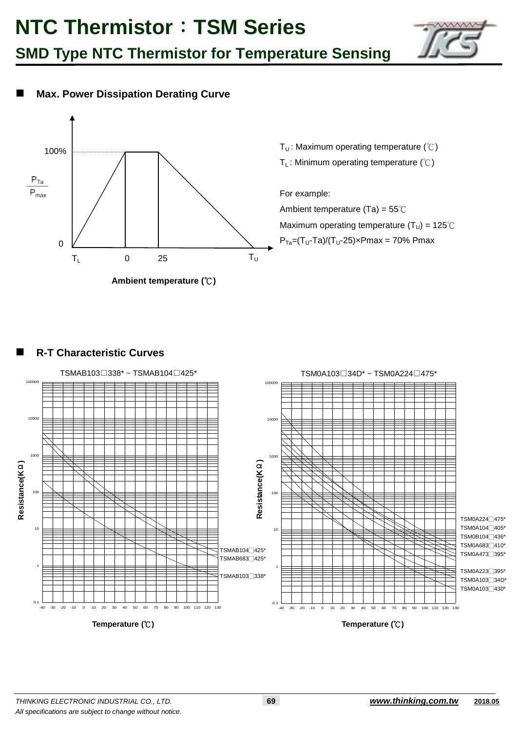





### **R-T Characteristic Curves**

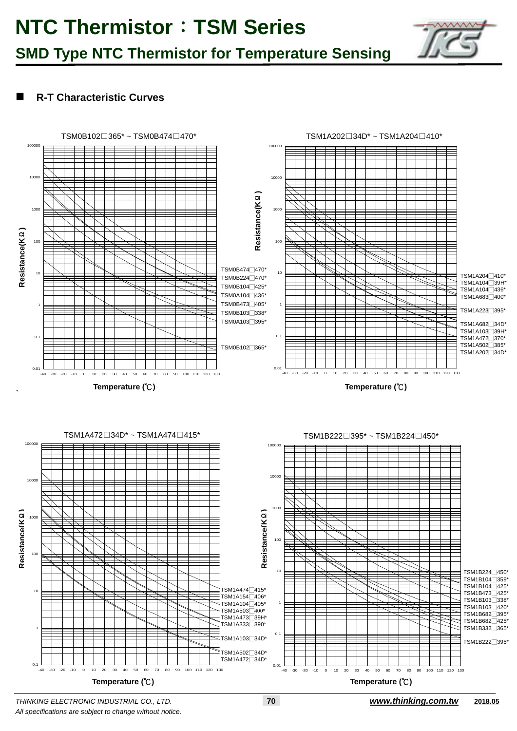## **R-T Characteristic Curves**



*All specifications are subject to change without notice.*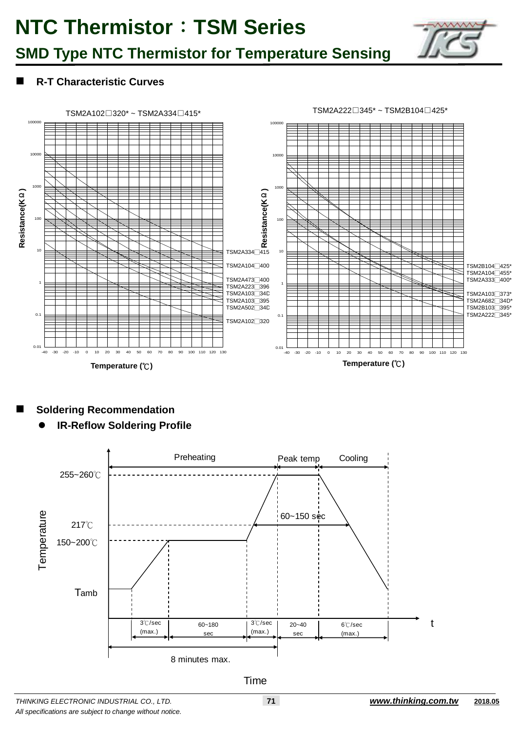

## **SMD Type NTC Thermistor for Temperature Sensing**

## **R-T Characteristic Curves**



## **Soldering Recommendation**

**IR-Reflow Soldering Profile**



#### **Time**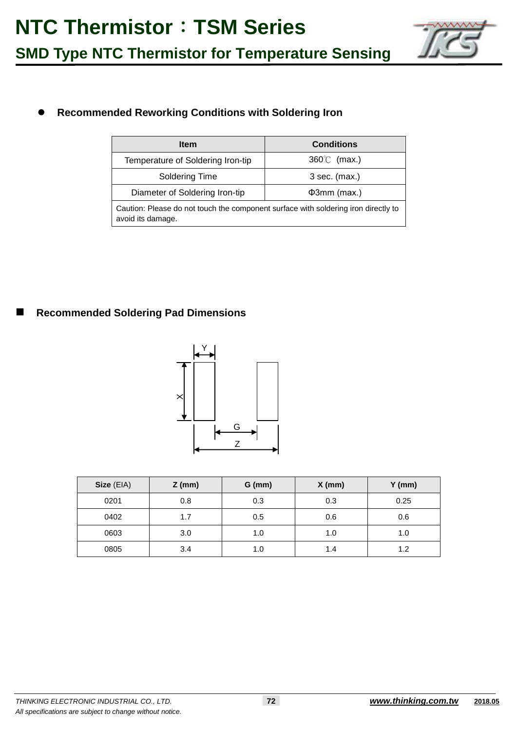

## **Recommended Reworking Conditions with Soldering Iron**

| <b>Item</b>                                                                                             | <b>Conditions</b>    |  |  |  |  |  |  |
|---------------------------------------------------------------------------------------------------------|----------------------|--|--|--|--|--|--|
| Temperature of Soldering Iron-tip                                                                       | $360^{\circ}$ (max.) |  |  |  |  |  |  |
| Soldering Time                                                                                          | $3$ sec. (max.)      |  |  |  |  |  |  |
| Diameter of Soldering Iron-tip                                                                          | $\Phi$ 3mm (max.)    |  |  |  |  |  |  |
| Caution: Please do not touch the component surface with soldering iron directly to<br>avoid its damage. |                      |  |  |  |  |  |  |

### **Recommended Soldering Pad Dimensions**



| Size (EIA) | $Z$ (mm) | $G$ (mm) | $X$ (mm) | $Y$ (mm) |
|------------|----------|----------|----------|----------|
| 0201       | 0.8      | 0.3      | 0.3      | 0.25     |
| 0402       | 1.7      | 0.5      | 0.6      | 0.6      |
| 0603       | 3.0      | 1.0      | 1.0      | 1.0      |
| 0805       | 3.4      | 1.0      | 1.4      | 1.2      |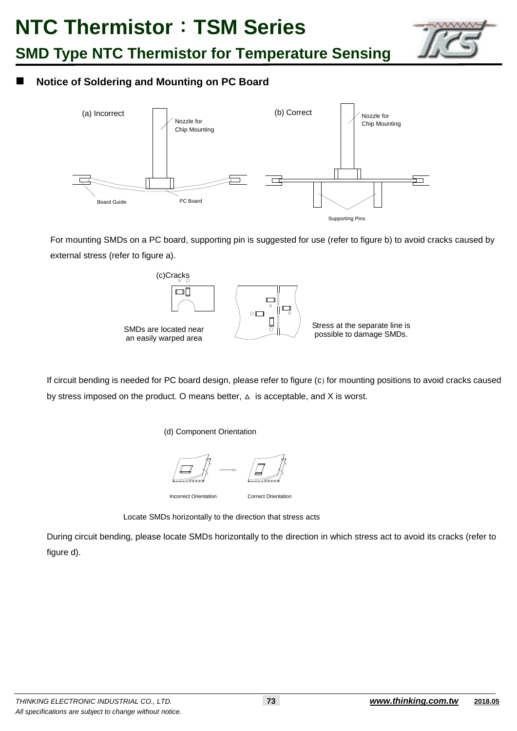

## **Notice of Soldering and Mounting on PC Board**



 For mounting SMDs on a PC board, supporting pin is suggested for use (refer to figure b) to avoid cracks caused by external stress (refer to figure a).



If circuit bending is needed for PC board design, please refer to figure (c) for mounting positions to avoid cracks caused by stress imposed on the product. O means better,  $\Delta$  is acceptable, and X is worst.

(d) Component Orientation



Locate SMDs horizontally to the direction that stress acts

During circuit bending, please locate SMDs horizontally to the direction in which stress act to avoid its cracks (refer to figure d).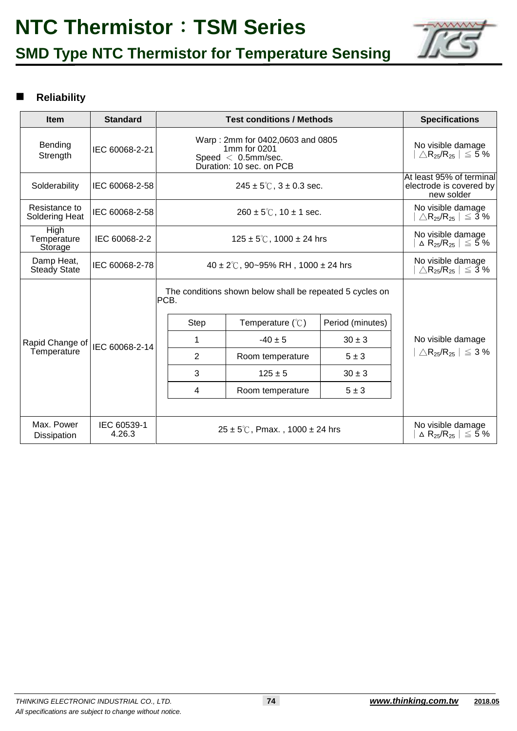



## **Reliability**

| <b>Item</b>                           | <b>Standard</b>       | <b>Test conditions / Methods</b>               | <b>Specifications</b>                                                                                 |                  |                                                           |  |  |  |
|---------------------------------------|-----------------------|------------------------------------------------|-------------------------------------------------------------------------------------------------------|------------------|-----------------------------------------------------------|--|--|--|
| Bending<br>Strength                   | IEC 60068-2-21        |                                                | Warp: 2mm for 0402,0603 and 0805<br>1mm for 0201<br>Speed $< 0.5$ mm/sec.<br>Duration: 10 sec. on PCB |                  |                                                           |  |  |  |
| Solderability                         | IEC 60068-2-58        |                                                | At least 95% of terminal<br>$245 \pm 5^{\circ}$ C, $3 \pm 0.3$ sec.                                   |                  |                                                           |  |  |  |
| Resistance to<br>Soldering Heat       | IEC 60068-2-58        |                                                | $260 \pm 5^{\circ}$ C, 10 $\pm$ 1 sec.                                                                |                  |                                                           |  |  |  |
| <b>High</b><br>Temperature<br>Storage | IEC 60068-2-2         |                                                | No visible damage<br>$\Delta$ R <sub>25</sub> /R <sub>25</sub> $\vert \leq 5\%$                       |                  |                                                           |  |  |  |
| Damp Heat,<br>Steady State            | IEC 60068-2-78        | 40 ± 2°C, 90~95% RH, 1000 ± 24 hrs             | No visible damage<br>$\triangle$ R <sub>25</sub> /R <sub>25</sub>   $\leq$ 3%                         |                  |                                                           |  |  |  |
|                                       |                       | PCB.                                           | The conditions shown below shall be repeated 5 cycles on                                              |                  |                                                           |  |  |  |
|                                       |                       | <b>Step</b>                                    | Temperature $(\mathcal{C})$                                                                           | Period (minutes) |                                                           |  |  |  |
| Rapid Change of                       | IEC 60068-2-14        | 1                                              | $-40 \pm 5$                                                                                           | $30 \pm 3$       | No visible damage                                         |  |  |  |
| Temperature                           |                       | $\overline{2}$                                 | Room temperature                                                                                      | $5 \pm 3$        | $\triangle$ R <sub>25</sub> /R <sub>25</sub>   $\leq 3\%$ |  |  |  |
|                                       |                       | 3                                              | $125 \pm 5$                                                                                           | $30 \pm 3$       |                                                           |  |  |  |
|                                       |                       | $\overline{4}$                                 | Room temperature                                                                                      | $5 \pm 3$        |                                                           |  |  |  |
|                                       |                       |                                                |                                                                                                       |                  |                                                           |  |  |  |
| Max. Power<br><b>Dissipation</b>      | IEC 60539-1<br>4.26.3 | $25 \pm 5^{\circ}$ C, Pmax., 1000 $\pm$ 24 hrs | No visible damage<br>$\Delta$ R <sub>25</sub> /R <sub>25</sub> $\vert \leq 5\%$                       |                  |                                                           |  |  |  |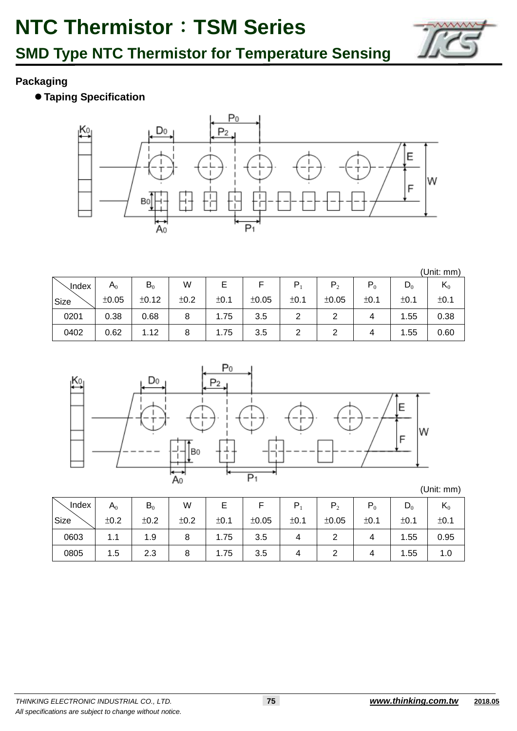

## **Packaging**

**Taping Specification** 



(Unit: mm)

| <b>、Index</b> | $\mathsf A_0$ | $B_0$ | W    |      |       | ם    | P <sub>2</sub> | $P_0$ | $\mathsf{D}_0$ | $\mathsf{n}_0$ |
|---------------|---------------|-------|------|------|-------|------|----------------|-------|----------------|----------------|
| Size          | ±0.05         | ±0.12 | ±0.2 | ±0.1 | ±0.05 | ±0.1 | ±0.05          | ±0.1  | ±0.1           | ±0.1           |
| 0201          | 0.38          | 0.68  | 8    | 1.75 | 3.5   |      |                |       | .55            | 0.38           |
| 0402          | 0.62          | 1.12  |      | 1.75 | 3.5   | ▃    |                |       | .55<br>4.      | 0.60           |



(Unit: mm)

| Index | $\mathsf A_0$ | $B_0$ | W    |      |       | P    |       | $P_0$ | $D_0$ | $\mathsf{N}_0$ |
|-------|---------------|-------|------|------|-------|------|-------|-------|-------|----------------|
| Size  | ±0.2          | ±0.2  | ±0.2 | ±0.1 | ±0.05 | ±0.1 | ±0.05 | ±0.1  | ±0.1  | ±0.1           |
| 0603  | 1.1           | 1.9   | 8    | 1.75 | 3.5   |      |       | 4     | 1.55  | 0.95           |
| 0805  | 1.5           | 2.3   | O    | 1.75 | 3.5   |      |       |       | 1.55  | 1.0            |